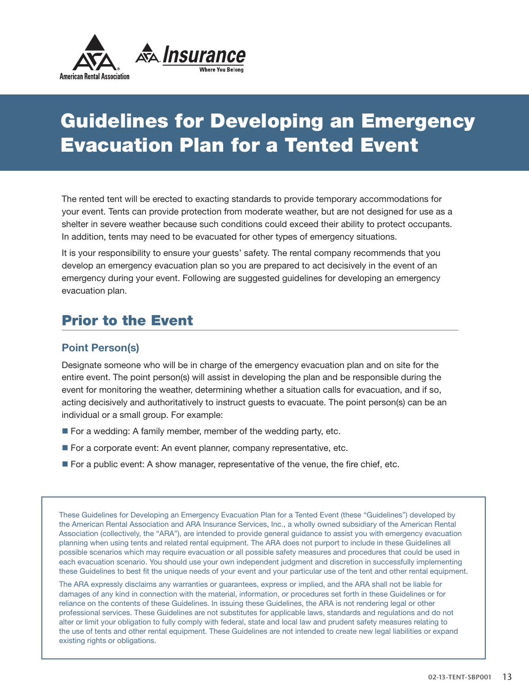

# Guidelines for Developing an Emergency Evacuation Plan for a Tented Event

The rented tent will be erected to exacting standards to provide temporary accommodations for your event. Tents can provide protection from moderate weather, but are not designed for use as a shelter in severe weather because such conditions could exceed their ability to protect occupants. In addition, tents may need to be evacuated for other types of emergency situations.

It is your responsibility to ensure your guests' safety. The rental company recommends that you develop an emergency evacuation plan so you are prepared to act decisively in the event of an emergency during your event. Following are suggested guidelines for developing an emergency evacuation plan.

### Prior to the Event

#### **Point Person(s)**

Designate someone who will be in charge of the emergency evacuation plan and on site for the entire event. The point person(s) will assist in developing the plan and be responsible during the event for monitoring the weather, determining whether a situation calls for evacuation, and if so, acting decisively and authoritatively to instruct guests to evacuate. The point person(s) can be an individual or a small group. For example:

- $\blacksquare$  For a wedding: A family member, member of the wedding party, etc.
- For a corporate event: An event planner, company representative, etc.
- **For a public event: A show manager, representative of the venue, the fire chief, etc.**

These Guidelines for Developing an Emergency Evacuation Plan for a Tented Event (these "Guidelines") developed by the American Rental Association and ARA Insurance Services, Inc., a wholly owned subsidiary of the American Rental Association (collectively, the "ARA"), are intended to provide general guidance to assist you with emergency evacuation planning when using tents and related rental equipment. The ARA does not purport to include in these Guidelines all possible scenarios which may require evacuation or all possible safety measures and procedures that could be used in each evacuation scenario. You should use your own independent judgment and discretion in successfully implementing these Guidelines to best fit the unique needs of your event and your particular use of the tent and other rental equipment.

The ARA expressly disclaims any warranties or guarantees, express or implied, and the ARA shall not be liable for damages of any kind in connection with the material, information, or procedures set forth in these Guidelines or for reliance on the contents of these Guidelines. In issuing these Guidelines, the ARA is not rendering legal or other professional services. These Guidelines are not substitutes for applicable laws, standards and regulations and do not alter or limit your obligation to fully comply with federal, state and local law and prudent safety measures relating to the use of tents and other rental equipment. These Guidelines are not intended to create new legal liabilities or expand existing rights or obligations.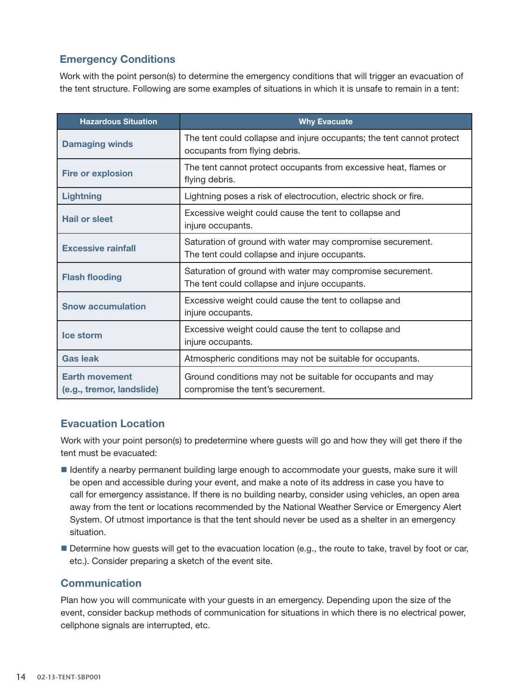#### **Emergency Conditions**

Work with the point person(s) to determine the emergency conditions that will trigger an evacuation of the tent structure. Following are some examples of situations in which it is unsafe to remain in a tent:

| <b>Hazardous Situation</b>                         | <b>Why Evacuate</b>                                                                                         |
|----------------------------------------------------|-------------------------------------------------------------------------------------------------------------|
| <b>Damaging winds</b>                              | The tent could collapse and injure occupants; the tent cannot protect<br>occupants from flying debris.      |
| <b>Fire or explosion</b>                           | The tent cannot protect occupants from excessive heat, flames or<br>flying debris.                          |
| <b>Lightning</b>                                   | Lightning poses a risk of electrocution, electric shock or fire.                                            |
| <b>Hail or sleet</b>                               | Excessive weight could cause the tent to collapse and<br>injure occupants.                                  |
| <b>Excessive rainfall</b>                          | Saturation of ground with water may compromise securement.<br>The tent could collapse and injure occupants. |
| <b>Flash flooding</b>                              | Saturation of ground with water may compromise securement.<br>The tent could collapse and injure occupants. |
| <b>Snow accumulation</b>                           | Excessive weight could cause the tent to collapse and<br>injure occupants.                                  |
| Ice storm                                          | Excessive weight could cause the tent to collapse and<br>injure occupants.                                  |
| <b>Gas leak</b>                                    | Atmospheric conditions may not be suitable for occupants.                                                   |
| <b>Earth movement</b><br>(e.g., tremor, landslide) | Ground conditions may not be suitable for occupants and may<br>compromise the tent's securement.            |

#### **Evacuation Location**

Work with your point person(s) to predetermine where guests will go and how they will get there if the tent must be evacuated:

- n Identify a nearby permanent building large enough to accommodate your guests, make sure it will be open and accessible during your event, and make a note of its address in case you have to call for emergency assistance. If there is no building nearby, consider using vehicles, an open area away from the tent or locations recommended by the National Weather Service or Emergency Alert System. Of utmost importance is that the tent should never be used as a shelter in an emergency situation.
- Determine how guests will get to the evacuation location (e.g., the route to take, travel by foot or car, etc.). Consider preparing a sketch of the event site.

#### **Communication**

Plan how you will communicate with your guests in an emergency. Depending upon the size of the event, consider backup methods of communication for situations in which there is no electrical power, cellphone signals are interrupted, etc.